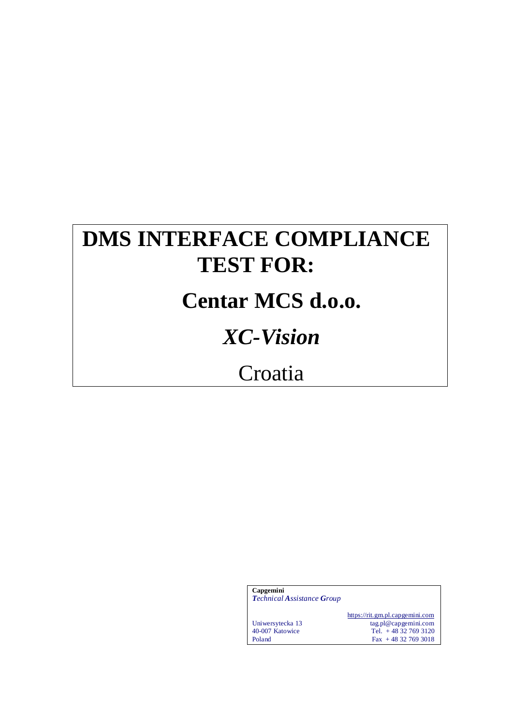# **DMS INTERFACE COMPLIANCE TEST FOR:**

# **Centar MCS d.o.o.**

# *XC-Vision*

# Croatia

| Capgemini<br><b>Technical Assistance Group</b> |                                                         |
|------------------------------------------------|---------------------------------------------------------|
| Uniwersytecka 13                               | https://rit.gm.pl.capgemini.com<br>tag.pl@capgemini.com |
| 40-007 Katowice                                | Tel. $+48327693120$                                     |
| Poland                                         | $\text{Fax} + 48327693018$                              |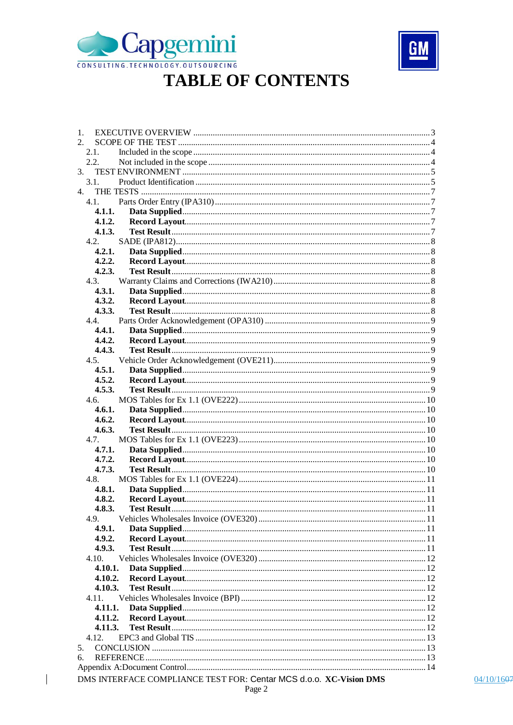



## **TABLE OF CONTENTS**

| 1.             |                                                                    |  |  |  |
|----------------|--------------------------------------------------------------------|--|--|--|
| 2.             |                                                                    |  |  |  |
| 2.1.           |                                                                    |  |  |  |
|                | 2.2.                                                               |  |  |  |
| 3.             |                                                                    |  |  |  |
| 3.1.           |                                                                    |  |  |  |
| $\mathbf{4}$ . |                                                                    |  |  |  |
|                | 4.1.                                                               |  |  |  |
|                | 4.1.1.                                                             |  |  |  |
|                | 4.1.2.                                                             |  |  |  |
|                | 4.1.3.                                                             |  |  |  |
|                | 4.2.                                                               |  |  |  |
|                | 4.2.1.                                                             |  |  |  |
|                | 4.2.2.                                                             |  |  |  |
|                | 4.2.3.                                                             |  |  |  |
|                | 4.3.                                                               |  |  |  |
|                | 4.3.1.                                                             |  |  |  |
|                | 4.3.2.                                                             |  |  |  |
|                | 4.3.3.                                                             |  |  |  |
|                | 4.4.                                                               |  |  |  |
|                | 4.4.1.                                                             |  |  |  |
|                | 4.4.2.                                                             |  |  |  |
|                | 4.4.3.                                                             |  |  |  |
|                | 4.5.                                                               |  |  |  |
|                | 4.5.1.                                                             |  |  |  |
|                | 4.5.2.                                                             |  |  |  |
|                | 4.5.3.                                                             |  |  |  |
|                | 4.6.                                                               |  |  |  |
|                | 4.6.1.                                                             |  |  |  |
|                | 4.6.2.                                                             |  |  |  |
|                | 4.6.3.                                                             |  |  |  |
|                | 4.7.                                                               |  |  |  |
|                | 4.7.1.                                                             |  |  |  |
|                | 4.7.2.                                                             |  |  |  |
|                | 4.7.3.                                                             |  |  |  |
|                | 4.8.                                                               |  |  |  |
|                | 4.8.1.                                                             |  |  |  |
|                | 4.8.2.                                                             |  |  |  |
|                | 4.8.3.                                                             |  |  |  |
| 4.9.           |                                                                    |  |  |  |
|                | 4.9.1.                                                             |  |  |  |
|                | 4.9.2.                                                             |  |  |  |
|                | 4.9.3.                                                             |  |  |  |
|                | 4.10.                                                              |  |  |  |
|                | 4.10.1.                                                            |  |  |  |
|                | 4.10.2.                                                            |  |  |  |
|                | 4.10.3.                                                            |  |  |  |
|                | 4.11.                                                              |  |  |  |
|                | 4.11.1.                                                            |  |  |  |
|                |                                                                    |  |  |  |
|                | 4.11.2.                                                            |  |  |  |
|                | 4.11.3.                                                            |  |  |  |
|                | 4.12.                                                              |  |  |  |
| 5.             |                                                                    |  |  |  |
| 6.             |                                                                    |  |  |  |
|                |                                                                    |  |  |  |
|                | DMS INTERFACE COMPLIANCE TEST FOR: Centar MCS d.o.o. XC-Vision DMS |  |  |  |

 $04/10/1607$ 

 $\overline{\phantom{a}}$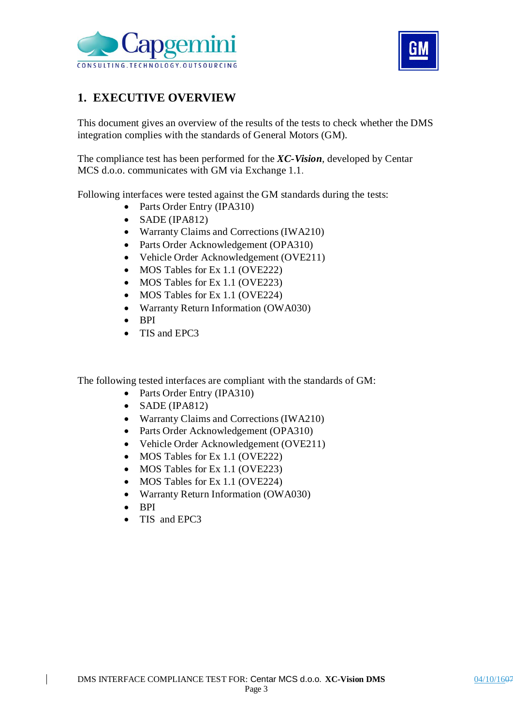



### **1. EXECUTIVE OVERVIEW**

This document gives an overview of the results of the tests to check whether the DMS integration complies with the standards of General Motors (GM).

The compliance test has been performed for the *XC-Vision*, developed by Centar MCS d.o.o. communicates with GM via Exchange 1.1.

Following interfaces were tested against the GM standards during the tests:

- Parts Order Entry (IPA310)
- $\bullet$  SADE (IPA812)
- Warranty Claims and Corrections (IWA210)
- Parts Order Acknowledgement (OPA310)
- Vehicle Order Acknowledgement (OVE211)
- MOS Tables for Ex 1.1 (OVE222)
- MOS Tables for Ex 1.1 (OVE223)
- MOS Tables for Ex 1.1 (OVE224)
- Warranty Return Information (OWA030)
- $-BPI$
- TIS and EPC3

The following tested interfaces are compliant with the standards of GM:

- Parts Order Entry (IPA310)
- $\bullet$  SADE (IPA812)
- Warranty Claims and Corrections (IWA210)
- Parts Order Acknowledgement (OPA310)
- Vehicle Order Acknowledgement (OVE211)
- MOS Tables for Ex 1.1 (OVE222)
- MOS Tables for Ex 1.1 (OVE223)
- MOS Tables for Ex 1.1 (OVE224)
- Warranty Return Information (OWA030)
- BPI
- TIS and EPC3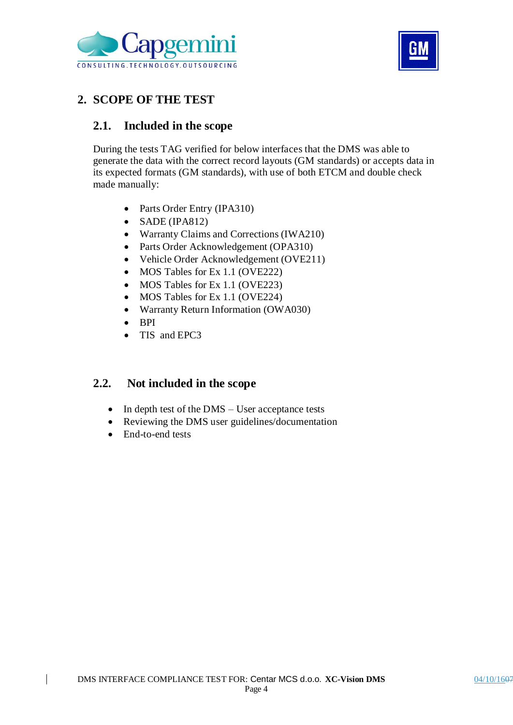



### **2. SCOPE OF THE TEST**

### **2.1. Included in the scope**

During the tests TAG verified for below interfaces that the DMS was able to generate the data with the correct record layouts (GM standards) or accepts data in its expected formats (GM standards), with use of both ETCM and double check made manually:

- Parts Order Entry (IPA310)
- SADE (IPA812)
- Warranty Claims and Corrections (IWA210)
- Parts Order Acknowledgement (OPA310)
- Vehicle Order Acknowledgement (OVE211)
- MOS Tables for Ex 1.1 (OVE222)
- MOS Tables for Ex 1.1 (OVE223)
- MOS Tables for Ex 1.1 (OVE224)
- Warranty Return Information (OWA030)
- BPI
- TIS and EPC3

### **2.2. Not included in the scope**

- In depth test of the DMS User acceptance tests
- Reviewing the DMS user guidelines/documentation
- End-to-end tests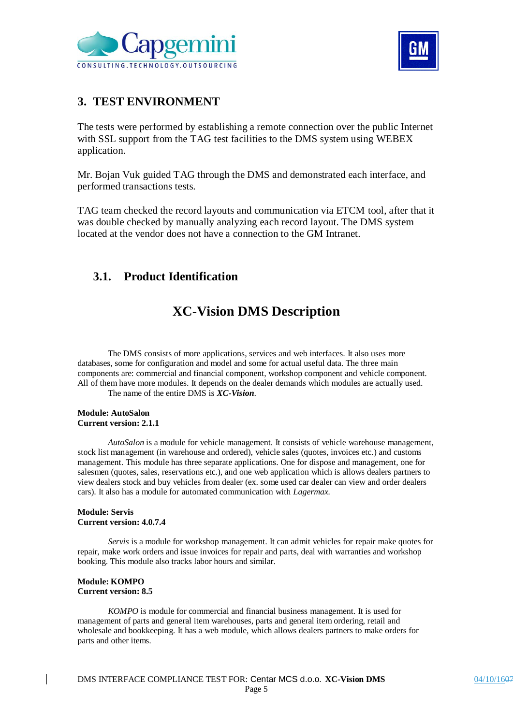



### **3. TEST ENVIRONMENT**

The tests were performed by establishing a remote connection over the public Internet with SSL support from the TAG test facilities to the DMS system using WEBEX application.

Mr. Bojan Vuk guided TAG through the DMS and demonstrated each interface, and performed transactions tests.

TAG team checked the record layouts and communication via ETCM tool, after that it was double checked by manually analyzing each record layout. The DMS system located at the vendor does not have a connection to the GM Intranet.

### **3.1. Product Identification**

### **XC-Vision DMS Description**

The DMS consists of more applications, services and web interfaces. It also uses more databases, some for configuration and model and some for actual useful data. The three main components are: commercial and financial component, workshop component and vehicle component. All of them have more modules. It depends on the dealer demands which modules are actually used. The name of the entire DMS is *XC-Vision*.

#### **Module: AutoSalon Current version: 2.1.1**

*AutoSalon* is a module for vehicle management. It consists of vehicle warehouse management, stock list management (in warehouse and ordered), vehicle sales (quotes, invoices etc.) and customs management. This module has three separate applications. One for dispose and management, one for salesmen (quotes, sales, reservations etc.), and one web application which is allows dealers partners to view dealers stock and buy vehicles from dealer (ex. some used car dealer can view and order dealers cars). It also has a module for automated communication with *Lagermax.*

#### **Module: Servis Current version: 4.0.7.4**

*Servis* is a module for workshop management. It can admit vehicles for repair make quotes for repair, make work orders and issue invoices for repair and parts, deal with warranties and workshop booking. This module also tracks labor hours and similar.

#### **Module: KOMPO Current version: 8.5**

*KOMPO* is module for commercial and financial business management. It is used for management of parts and general item warehouses, parts and general item ordering, retail and wholesale and bookkeeping. It has a web module, which allows dealers partners to make orders for parts and other items.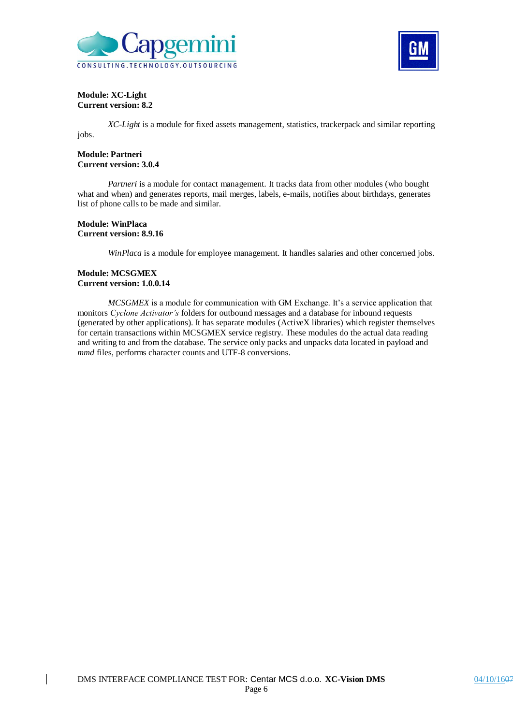



#### **Module: XC-Light Current version: 8.2**

jobs.

*XC-Light* is a module for fixed assets management, statistics, trackerpack and similar reporting

#### **Module: Partneri Current version: 3.0.4**

*Partneri* is a module for contact management. It tracks data from other modules (who bought what and when) and generates reports, mail merges, labels, e-mails, notifies about birthdays, generates list of phone calls to be made and similar.

#### **Module: WinPlaca Current version: 8.9.16**

*WinPlaca* is a module for employee management. It handles salaries and other concerned jobs.

#### **Module: MCSGMEX Current version: 1.0.0.14**

*MCSGMEX* is a module for communication with GM Exchange. It's a service application that monitors *Cyclone Activator's* folders for outbound messages and a database for inbound requests (generated by other applications). It has separate modules (ActiveX libraries) which register themselves for certain transactions within MCSGMEX service registry. These modules do the actual data reading and writing to and from the database. The service only packs and unpacks data located in payload and *mmd* files, performs character counts and UTF-8 conversions.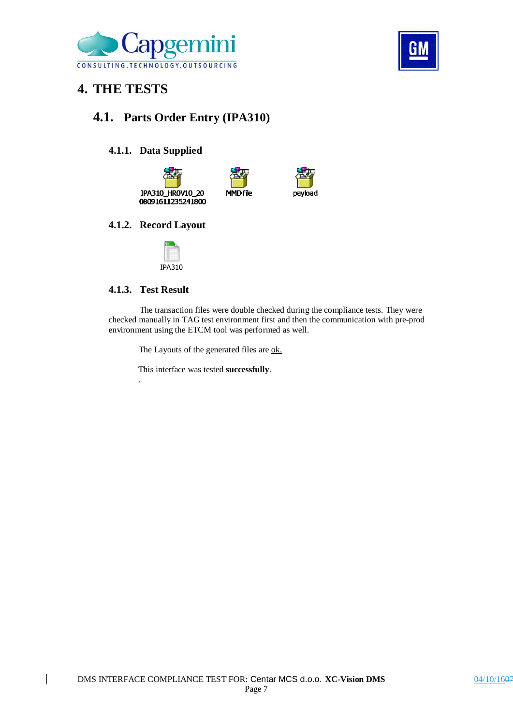



## **4. THE TESTS**

### **4.1. Parts Order Entry (IPA310)**

#### **4.1.1. Data Supplied**





#### **4.1.2. Record Layout**



#### **4.1.3. Test Result**

.

The transaction files were double checked during the compliance tests. They were checked manually in TAG test environment first and then the communication with pre-prod environment using the ETCM tool was performed as well.

The Layouts of the generated files are ok.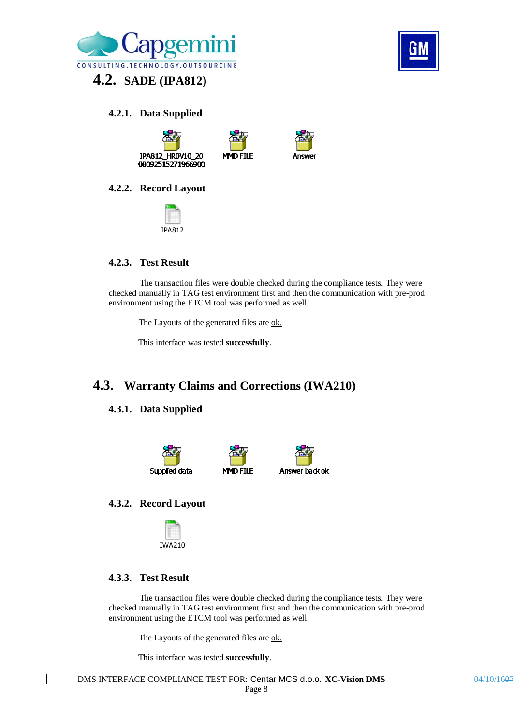

## **4.2. SADE (IPA812)**

#### **4.2.1. Data Supplied**





#### **4.2.2. Record Layout**



#### **4.2.3. Test Result**

The transaction files were double checked during the compliance tests. They were checked manually in TAG test environment first and then the communication with pre-prod environment using the ETCM tool was performed as well.

**MMD FTIF** 

The Layouts of the generated files are ok.

This interface was tested **successfully**.

### **4.3. Warranty Claims and Corrections (IWA210)**

#### **4.3.1. Data Supplied**



#### **4.3.2. Record Layout**



#### **4.3.3. Test Result**

The transaction files were double checked during the compliance tests. They were checked manually in TAG test environment first and then the communication with pre-prod environment using the ETCM tool was performed as well.

The Layouts of the generated files are ok.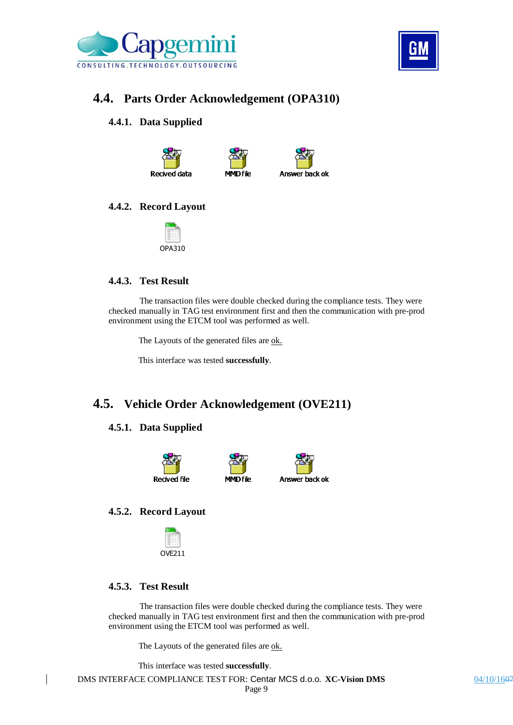



### **4.4. Parts Order Acknowledgement (OPA310)**

#### **4.4.1. Data Supplied**







#### **4.4.2. Record Layout**



#### **4.4.3. Test Result**

The transaction files were double checked during the compliance tests. They were checked manually in TAG test environment first and then the communication with pre-prod environment using the ETCM tool was performed as well.

The Layouts of the generated files are ok.

This interface was tested **successfully**.

### **4.5. Vehicle Order Acknowledgement (OVE211)**

#### **4.5.1. Data Supplied**





#### **4.5.2. Record Layout**



#### **4.5.3. Test Result**

The transaction files were double checked during the compliance tests. They were checked manually in TAG test environment first and then the communication with pre-prod environment using the ETCM tool was performed as well.

The Layouts of the generated files are ok.

This interface was tested **successfully**.

DMS INTERFACE COMPLIANCE TEST FOR: Centar MCS d.o.o. **XC-Vision DMS** 04/10/1607 Page 9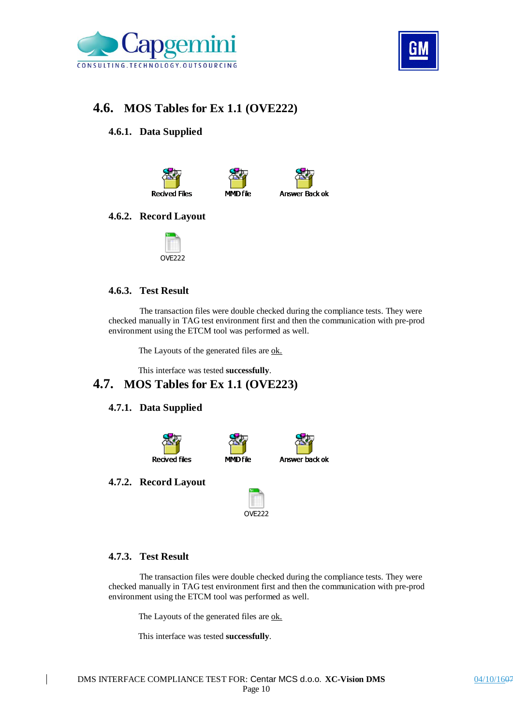



### **4.6. MOS Tables for Ex 1.1 (OVE222)**

#### **4.6.1. Data Supplied**



#### **4.6.2. Record Layout**



#### **4.6.3. Test Result**

The transaction files were double checked during the compliance tests. They were checked manually in TAG test environment first and then the communication with pre-prod environment using the ETCM tool was performed as well.

The Layouts of the generated files are ok.

This interface was tested **successfully**.

### **4.7. MOS Tables for Ex 1.1 (OVE223)**

#### **4.7.1. Data Supplied**



#### **4.7.2. Record Layout**



#### **4.7.3. Test Result**

The transaction files were double checked during the compliance tests. They were checked manually in TAG test environment first and then the communication with pre-prod environment using the ETCM tool was performed as well.

The Layouts of the generated files are ok.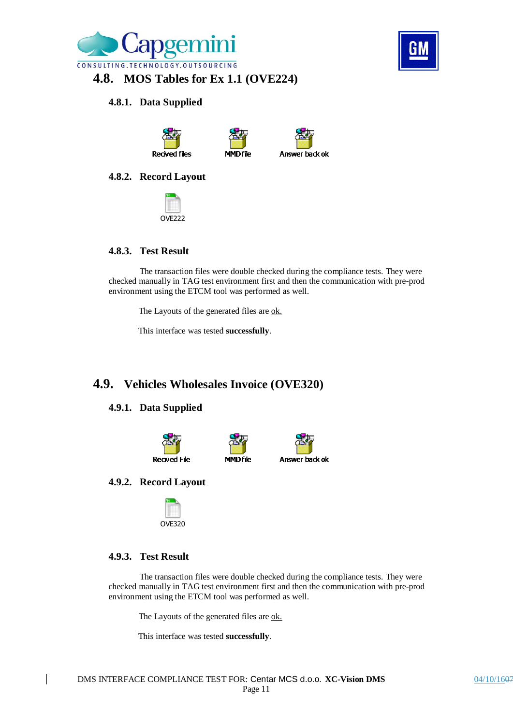

### **4.8. MOS Tables for Ex 1.1 (OVE224)**

#### **4.8.1. Data Supplied**



#### **4.8.2. Record Layout**



## **4.8.3. Test Result**

The transaction files were double checked during the compliance tests. They were checked manually in TAG test environment first and then the communication with pre-prod environment using the ETCM tool was performed as well.

The Layouts of the generated files are ok.

This interface was tested **successfully**.

### **4.9. Vehicles Wholesales Invoice (OVE320)**

#### **4.9.1. Data Supplied**





#### **4.9.2. Record Layout**



#### **4.9.3. Test Result**

The transaction files were double checked during the compliance tests. They were checked manually in TAG test environment first and then the communication with pre-prod environment using the ETCM tool was performed as well.

The Layouts of the generated files are ok.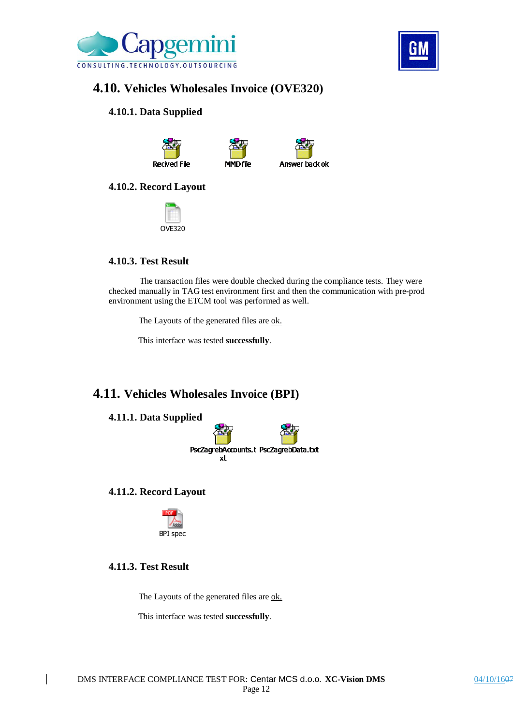



### **4.10. Vehicles Wholesales Invoice (OVE320)**

#### **4.10.1. Data Supplied**







#### **4.10.2. Record Layout**



#### **4.10.3. Test Result**

The transaction files were double checked during the compliance tests. They were checked manually in TAG test environment first and then the communication with pre-prod environment using the ETCM tool was performed as well.

The Layouts of the generated files are ok.

This interface was tested **successfully**.

### **4.11. Vehicles Wholesales Invoice (BPI)**

#### **4.11.1. Data Supplied**



#### **4.11.2. Record Layout**



### **4.11.3. Test Result**

The Layouts of the generated files are ok.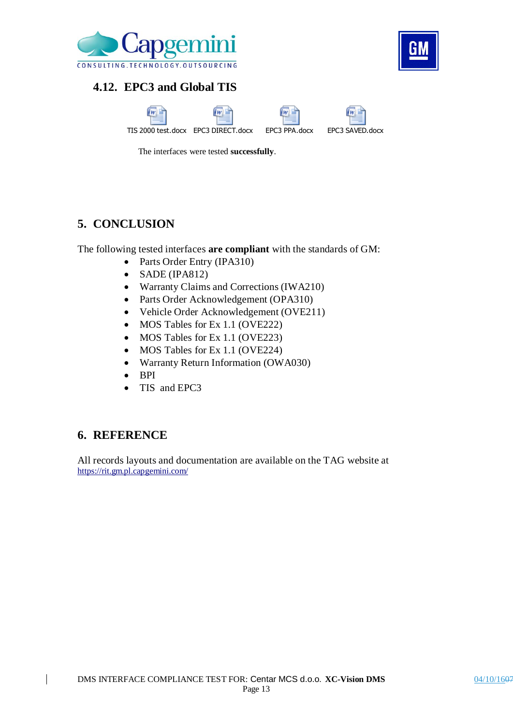

### **4.12. EPC3 and Global TIS**







The interfaces were tested **successfully**.

### **5. CONCLUSION**

The following tested interfaces **are compliant** with the standards of GM:

- Parts Order Entry (IPA310)
- SADE (IPA812)
- Warranty Claims and Corrections (IWA210)
- Parts Order Acknowledgement (OPA310)
- Vehicle Order Acknowledgement (OVE211)
- MOS Tables for Ex 1.1 (OVE222)
- MOS Tables for Ex 1.1 (OVE223)
- MOS Tables for Ex 1.1 (OVE224)
- Warranty Return Information (OWA030)
- BPI
- TIS and EPC3

### **6. REFERENCE**

All records layouts and documentation are available on the TAG website at https://rit.gm.pl.capgemini.com/